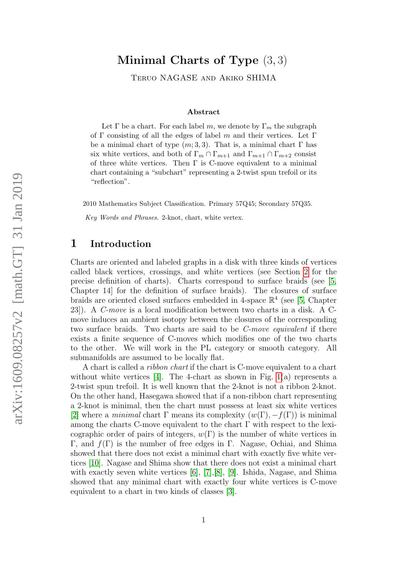# Minimal Charts of Type (3, 3)

Teruo NAGASE and Akiko SHIMA

#### Abstract

Let  $\Gamma$  be a chart. For each label m, we denote by  $\Gamma_m$  the subgraph of Γ consisting of all the edges of label m and their vertices. Let Γ be a minimal chart of type  $(m; 3, 3)$ . That is, a minimal chart  $\Gamma$  has six white vertices, and both of  $\Gamma_m \cap \Gamma_{m+1}$  and  $\Gamma_{m+1} \cap \Gamma_{m+2}$  consist of three white vertices. Then  $\Gamma$  is C-move equivalent to a minimal chart containing a "subchart" representing a 2-twist spun trefoil or its "reflection".

2010 Mathematics Subject Classification. Primary 57Q45; Secondary 57Q35.

Key Words and Phrases. 2-knot, chart, white vertex.

#### 1 Introduction

Charts are oriented and labeled graphs in a disk with three kinds of vertices called black vertices, crossings, and white vertices (see Section [2](#page-2-0) for the precise definition of charts). Charts correspond to surface braids (see [\[5,](#page-25-0) Chapter 14] for the definition of surface braids). The closures of surface braids are oriented closed surfaces embedded in 4-space  $\mathbb{R}^4$  (see [\[5,](#page-25-0) Chapter 23]). A C-move is a local modification between two charts in a disk. A Cmove induces an ambient isotopy between the closures of the corresponding two surface braids. Two charts are said to be C-move equivalent if there exists a finite sequence of C-moves which modifies one of the two charts to the other. We will work in the PL category or smooth category. All submanifolds are assumed to be locally flat.

A chart is called a ribbon chart if the chart is C-move equivalent to a chart without white vertices [\[4\]](#page-25-1). The 4-chart as shown in Fig.  $1(a)$  represents a 2-twist spun trefoil. It is well known that the 2-knot is not a ribbon 2-knot. On the other hand, Hasegawa showed that if a non-ribbon chart representing a 2-knot is minimal, then the chart must possess at least six white vertices [\[2\]](#page-25-2) where a *minimal* chart  $\Gamma$  means its complexity  $(w(\Gamma), -f(\Gamma))$  is minimal among the charts C-move equivalent to the chart  $\Gamma$  with respect to the lexicographic order of pairs of integers,  $w(\Gamma)$  is the number of white vertices in Γ, and  $f(Γ)$  is the number of free edges in Γ. Nagase, Ochiai, and Shima showed that there does not exist a minimal chart with exactly five white vertices [\[10\]](#page-26-0). Nagase and Shima show that there does not exist a minimal chart with exactly seven white vertices [\[6\]](#page-26-1), [\[7\]](#page-26-2),[\[8\]](#page-26-3), [\[9\]](#page-26-4). Ishida, Nagase, and Shima showed that any minimal chart with exactly four white vertices is C-move equivalent to a chart in two kinds of classes [\[3\]](#page-25-3).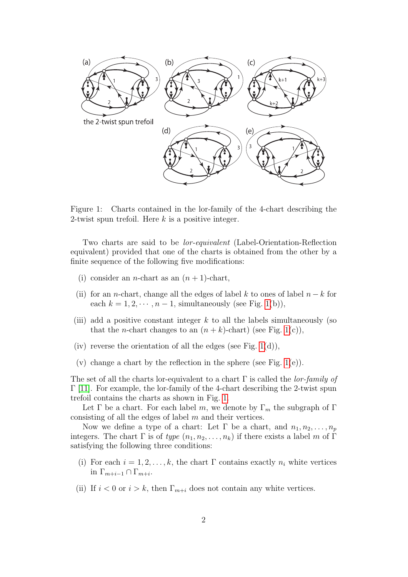

<span id="page-1-0"></span>Figure 1: Charts contained in the lor-family of the 4-chart describing the 2-twist spun trefoil. Here  $k$  is a positive integer.

Two charts are said to be lor-equivalent (Label-Orientation-Reflection equivalent) provided that one of the charts is obtained from the other by a finite sequence of the following five modifications:

- (i) consider an *n*-chart as an  $(n + 1)$ -chart,
- (ii) for an *n*-chart, change all the edges of label k to ones of label  $n k$  for each  $k = 1, 2, \dots, n-1$ , simultaneously (see Fig. [1\(](#page-1-0)b)),
- (iii) add a positive constant integer  $k$  to all the labels simultaneously (so that the *n*-chart changes to an  $(n + k)$ -chart) (see Fig. [1\(](#page-1-0)c)),
- (iv) reverse the orientation of all the edges (see Fig.  $1(d)$ ),
- (v) change a chart by the reflection in the sphere (see Fig.  $1(e)$ ).

The set of all the charts lor-equivalent to a chart  $\Gamma$  is called the *lor-family of*  $\Gamma$  [\[11\]](#page-26-5). For example, the lor-family of the 4-chart describing the 2-twist spun trefoil contains the charts as shown in Fig. [1.](#page-1-0)

Let  $\Gamma$  be a chart. For each label m, we denote by  $\Gamma_m$  the subgraph of  $\Gamma$ consisting of all the edges of label  $m$  and their vertices.

Now we define a type of a chart: Let  $\Gamma$  be a chart, and  $n_1, n_2, \ldots, n_p$ integers. The chart  $\Gamma$  is of type  $(n_1, n_2, \ldots, n_k)$  if there exists a label m of  $\Gamma$ satisfying the following three conditions:

- (i) For each  $i = 1, 2, \ldots, k$ , the chart  $\Gamma$  contains exactly  $n_i$  white vertices in  $\Gamma_{m+i-1} \cap \Gamma_{m+i}$ .
- (ii) If  $i < 0$  or  $i > k$ , then  $\Gamma_{m+i}$  does not contain any white vertices.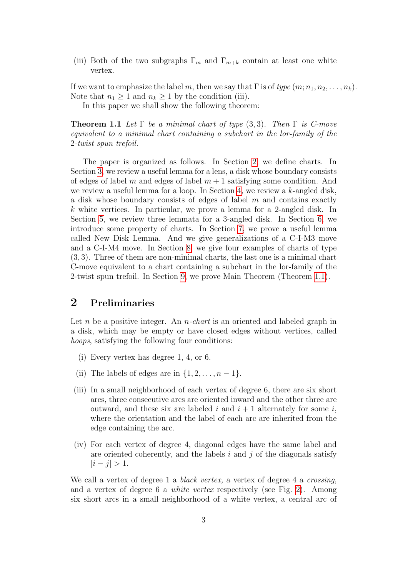(iii) Both of the two subgraphs  $\Gamma_m$  and  $\Gamma_{m+k}$  contain at least one white vertex.

If we want to emphasize the label m, then we say that  $\Gamma$  is of type  $(m; n_1, n_2, \ldots, n_k)$ . Note that  $n_1 \geq 1$  and  $n_k \geq 1$  by the condition (iii).

In this paper we shall show the following theorem:

<span id="page-2-1"></span>**Theorem 1.1** Let  $\Gamma$  be a minimal chart of type (3,3). Then  $\Gamma$  is C-move equivalent to a minimal chart containing a subchart in the lor-family of the 2-twist spun trefoil.

The paper is organized as follows. In Section [2,](#page-2-0) we define charts. In Section [3,](#page-5-0) we review a useful lemma for a lens, a disk whose boundary consists of edges of label m and edges of label  $m + 1$  satisfying some condition. And we review a useful lemma for a loop. In Section [4,](#page-7-0) we review a k-angled disk, a disk whose boundary consists of edges of label  $m$  and contains exactly k white vertices. In particular, we prove a lemma for a 2-angled disk. In Section [5,](#page-10-0) we review three lemmata for a 3-angled disk. In Section [6,](#page-11-0) we introduce some property of charts. In Section [7,](#page-13-0) we prove a useful lemma called New Disk Lemma. And we give generalizations of a C-I-M3 move and a C-I-M4 move. In Section [8,](#page-16-0) we give four examples of charts of type (3, 3). Three of them are non-minimal charts, the last one is a minimal chart C-move equivalent to a chart containing a subchart in the lor-family of the 2-twist spun trefoil. In Section [9,](#page-18-0) we prove Main Theorem (Theorem [1.1\)](#page-2-1).

### <span id="page-2-0"></span>2 Preliminaries

Let n be a positive integer. An *n-chart* is an oriented and labeled graph in a disk, which may be empty or have closed edges without vertices, called hoops, satisfying the following four conditions:

- (i) Every vertex has degree 1, 4, or 6.
- (ii) The labels of edges are in  $\{1, 2, \ldots, n-1\}.$
- (iii) In a small neighborhood of each vertex of degree 6, there are six short arcs, three consecutive arcs are oriented inward and the other three are outward, and these six are labeled i and  $i + 1$  alternately for some i, where the orientation and the label of each arc are inherited from the edge containing the arc.
- (iv) For each vertex of degree 4, diagonal edges have the same label and are oriented coherently, and the labels  $i$  and  $j$  of the diagonals satisfy  $|i - j| > 1$ .

We call a vertex of degree 1 a *black vertex*, a vertex of degree 4 a *crossing*, and a vertex of degree 6 a white vertex respectively (see Fig. [2\)](#page-3-0). Among six short arcs in a small neighborhood of a white vertex, a central arc of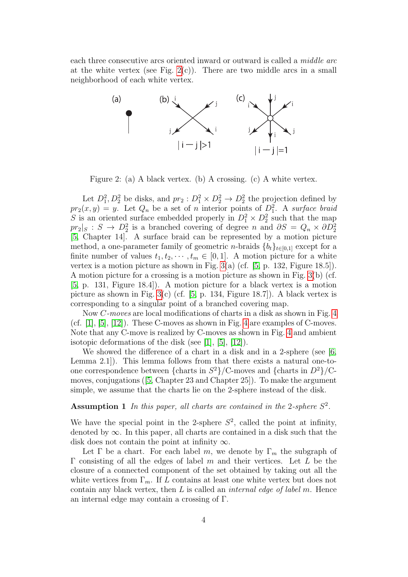each three consecutive arcs oriented inward or outward is called a middle arc at the white vertex (see Fig.  $2(c)$ ). There are two middle arcs in a small neighborhood of each white vertex.



<span id="page-3-0"></span>Figure 2: (a) A black vertex. (b) A crossing. (c) A white vertex.

Let  $D_1^2, D_2^2$  be disks, and  $pr_2: D_1^2 \times D_2^2 \rightarrow D_2^2$  the projection defined by  $pr_2(x, y) = y$ . Let  $Q_n$  be a set of n interior points of  $D_1^2$ . A surface braid S is an oriented surface embedded properly in  $D_1^2 \times D_2^2$  such that the map  $pr_2|_S : S \to D_2^2$  is a branched covering of degree n and  $\partial S = Q_n \times \partial D_2^2$ [\[5,](#page-25-0) Chapter 14]. A surface braid can be represented by a motion picture method, a one-parameter family of geometric *n*-braids  ${b_t}_{t \in [0,1]}$  except for a finite number of values  $t_1, t_2, \dots, t_m \in [0, 1]$ . A motion picture for a white vertex is a motion picture as shown in Fig.  $3(a)$  (cf. [\[5,](#page-25-0) p. 132, Figure 18.5]). A motion picture for a crossing is a motion picture as shown in Fig. [3\(](#page-4-0)b) (cf. [\[5,](#page-25-0) p. 131, Figure 18.4]). A motion picture for a black vertex is a motion picture as shown in Fig.  $3(c)$  (cf. [\[5,](#page-25-0) p. 134, Figure 18.7]). A black vertex is corresponding to a singular point of a branched covering map.

Now C-moves are local modifications of charts in a disk as shown in Fig. [4](#page-5-1) (cf.  $[1], [5], [12]$  $[1], [5], [12]$  $[1], [5], [12]$  $[1], [5], [12]$ ). These C-moves as shown in Fig. [4](#page-5-1) are examples of C-moves. Note that any C-move is realized by C-moves as shown in Fig. [4](#page-5-1) and ambient isotopic deformations of the disk (see [\[1\]](#page-25-4), [\[5\]](#page-25-0), [\[12\]](#page-27-0)).

We showed the difference of a chart in a disk and in a 2-sphere (see [\[6,](#page-26-1) Lemma 2.1]). This lemma follows from that there exists a natural one-toone correspondence between {charts in  $S^2$ }/C-moves and {charts in  $D^2$ }/Cmoves, conjugations([\[5,](#page-25-0) Chapter 23 and Chapter 25]). To make the argument simple, we assume that the charts lie on the 2-sphere instead of the disk.

#### **Assumption 1** In this paper, all charts are contained in the 2-sphere  $S^2$ .

We have the special point in the 2-sphere  $S^2$ , called the point at infinity, denoted by  $\infty$ . In this paper, all charts are contained in a disk such that the disk does not contain the point at infinity  $\infty$ .

Let  $\Gamma$  be a chart. For each label m, we denote by  $\Gamma_m$  the subgraph of Γ consisting of all the edges of label m and their vertices. Let L be the closure of a connected component of the set obtained by taking out all the white vertices from  $\Gamma_m$ . If L contains at least one white vertex but does not contain any black vertex, then  $L$  is called an *internal edge of label m*. Hence an internal edge may contain a crossing of Γ.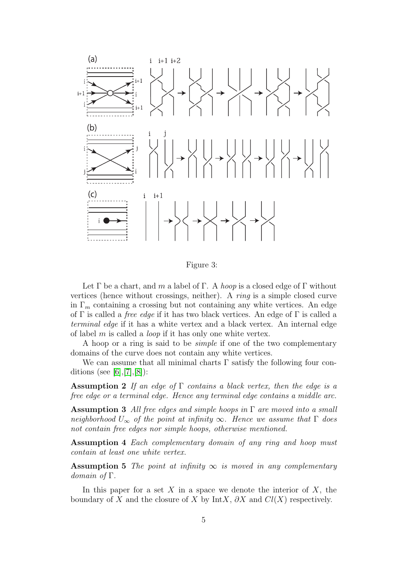

<span id="page-4-0"></span>Figure 3:

Let  $\Gamma$  be a chart, and m a label of  $\Gamma$ . A hoop is a closed edge of  $\Gamma$  without vertices (hence without crossings, neither). A ring is a simple closed curve in  $\Gamma_m$  containing a crossing but not containing any white vertices. An edge of  $\Gamma$  is called a *free edge* if it has two black vertices. An edge of  $\Gamma$  is called a terminal edge if it has a white vertex and a black vertex. An internal edge of label  $m$  is called a *loop* if it has only one white vertex.

A hoop or a ring is said to be simple if one of the two complementary domains of the curve does not contain any white vertices.

We can assume that all minimal charts  $\Gamma$  satisfy the following four con-ditions (see [\[6\]](#page-26-1), [\[7\]](#page-26-2), [\[8\]](#page-26-3)):

<span id="page-4-1"></span>Assumption 2 If an edge of  $\Gamma$  contains a black vertex, then the edge is a free edge or a terminal edge. Hence any terminal edge contains a middle arc.

<span id="page-4-2"></span>**Assumption 3** All free edges and simple hoops in  $\Gamma$  are moved into a small neighborhood  $U_{\infty}$  of the point at infinity  $\infty$ . Hence we assume that  $\Gamma$  does not contain free edges nor simple hoops, otherwise mentioned.

<span id="page-4-3"></span>Assumption 4 Each complementary domain of any ring and hoop must contain at least one white vertex.

**Assumption 5** The point at infinity  $\infty$  is moved in any complementary domain of Γ.

In this paper for a set X in a space we denote the interior of X, the boundary of X and the closure of X by IntX,  $\partial X$  and  $Cl(X)$  respectively.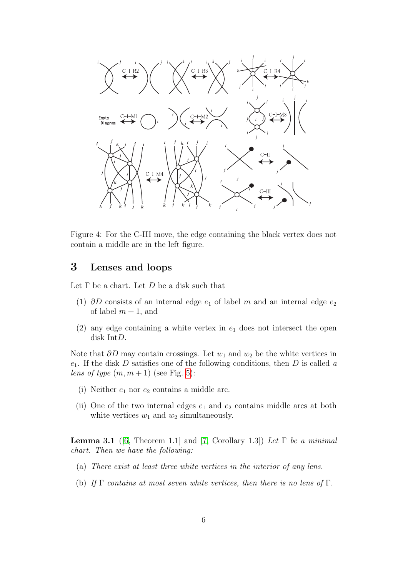

<span id="page-5-1"></span>Figure 4: For the C-III move, the edge containing the black vertex does not contain a middle arc in the left figure.

# <span id="page-5-0"></span>3 Lenses and loops

Let  $\Gamma$  be a chart. Let  $D$  be a disk such that

- (1)  $\partial D$  consists of an internal edge  $e_1$  of label m and an internal edge  $e_2$ of label  $m + 1$ , and
- (2) any edge containing a white vertex in  $e_1$  does not intersect the open disk IntD.

Note that  $\partial D$  may contain crossings. Let  $w_1$  and  $w_2$  be the white vertices in  $e_1$ . If the disk D satisfies one of the following conditions, then D is called a lens of type  $(m, m + 1)$  (see Fig. [5\)](#page-6-0):

- (i) Neither  $e_1$  nor  $e_2$  contains a middle arc.
- (ii) One of the two internal edges  $e_1$  and  $e_2$  contains middle arcs at both white vertices  $w_1$  and  $w_2$  simultaneously.

<span id="page-5-2"></span>**Lemma 3.1** ([\[6,](#page-26-1) Theorem 1.1] and [\[7,](#page-26-2) Corollary 1.3]) Let  $\Gamma$  be a minimal chart. Then we have the following:

- (a) There exist at least three white vertices in the interior of any lens.
- (b) If  $\Gamma$  contains at most seven white vertices, then there is no lens of  $\Gamma$ .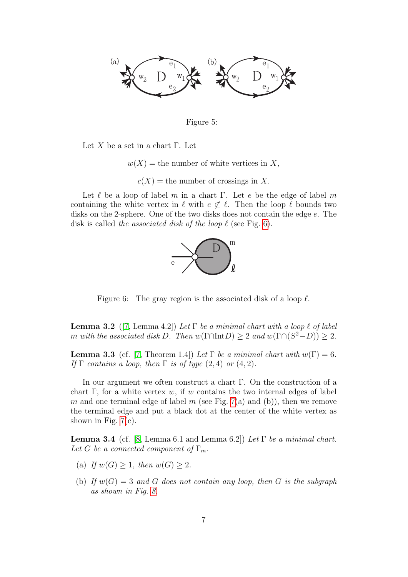

<span id="page-6-0"></span>Figure 5:

Let X be a set in a chart  $\Gamma$ . Let

 $w(X)$  = the number of white vertices in X,

 $c(X)$  = the number of crossings in X.

Let  $\ell$  be a loop of label m in a chart Γ. Let e be the edge of label m containing the white vertex in  $\ell$  with  $e \not\subset \ell$ . Then the loop  $\ell$  bounds two disks on the 2-sphere. One of the two disks does not contain the edge e. The disk is called the associated disk of the loop  $\ell$  (see Fig. [6\)](#page-6-1).



<span id="page-6-1"></span>Figure 6: The gray region is the associated disk of a loop  $\ell$ .

<span id="page-6-2"></span>**Lemma 3.2** ([\[7,](#page-26-2) Lemma 4.2]) Let  $\Gamma$  be a minimal chart with a loop  $\ell$  of label m with the associated disk D. Then  $w(\Gamma \cap \text{Int}D) \geq 2$  and  $w(\Gamma \cap (S^2 - D)) \geq 2$ .

<span id="page-6-3"></span>**Lemma 3.3** (cf. [\[7,](#page-26-2) Theorem 1.4]) Let  $\Gamma$  be a minimal chart with  $w(\Gamma) = 6$ . If  $\Gamma$  contains a loop, then  $\Gamma$  is of type  $(2, 4)$  or  $(4, 2)$ .

In our argument we often construct a chart Γ. On the construction of a chart Γ, for a white vertex w, if w contains the two internal edges of label m and one terminal edge of label m (see Fig. [7\(](#page-7-1)a) and (b)), then we remove the terminal edge and put a black dot at the center of the white vertex as shown in Fig.  $7(c)$ .

<span id="page-6-4"></span>**Lemma 3.4** (cf. [\[8,](#page-26-3) Lemma 6.1 and Lemma 6.2]) Let  $\Gamma$  be a minimal chart. Let G be a connected component of  $\Gamma_m$ .

- (a) If  $w(G) \geq 1$ , then  $w(G) \geq 2$ .
- (b) If  $w(G) = 3$  and G does not contain any loop, then G is the subgraph as shown in Fig. [8.](#page-7-2)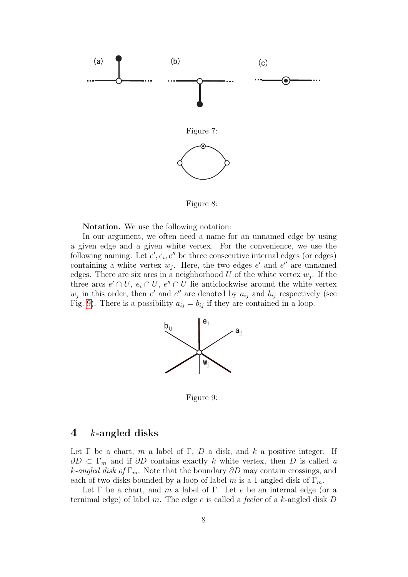

<span id="page-7-2"></span><span id="page-7-1"></span>Figure 8:

Notation. We use the following notation:

In our argument, we often need a name for an unnamed edge by using a given edge and a given white vertex. For the convenience, we use the following naming: Let  $e', e_i, e''$  be three consecutive internal edges (or edges) containing a white vertex  $w_j$ . Here, the two edges  $e'$  and  $e''$  are unnamed edges. There are six arcs in a neighborhood  $U$  of the white vertex  $w_j$ . If the three arcs  $e' \cap U$ ,  $e_i \cap U$ ,  $e'' \cap U$  lie anticlockwise around the white vertex  $w_j$  in this order, then e' and e'' are denoted by  $a_{ij}$  and  $b_{ij}$  respectively (see Fig. [9\)](#page-7-3). There is a possibility  $a_{ij} = b_{ij}$  if they are contained in a loop.



<span id="page-7-3"></span>Figure 9:

#### <span id="page-7-0"></span>4  $k$ -angled disks

Let  $\Gamma$  be a chart, m a label of  $\Gamma$ , D a disk, and k a positive integer. If  $\partial D \subset \Gamma_m$  and if  $\partial D$  contains exactly k white vertex, then D is called a k-angled disk of  $\Gamma_m$ . Note that the boundary  $\partial D$  may contain crossings, and each of two disks bounded by a loop of label m is a 1-angled disk of  $\Gamma_m$ .

Let Γ be a chart, and m a label of Γ. Let e be an internal edge (or a ternimal edge) of label m. The edge  $e$  is called a *feeler* of a k-angled disk D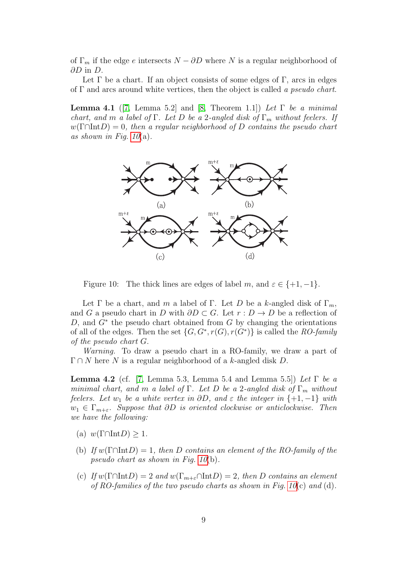of  $\Gamma_m$  if the edge e intersects  $N - \partial D$  where N is a regular neighborhood of  $\partial D$  in  $D$ .

Let  $\Gamma$  be a chart. If an object consists of some edges of  $\Gamma$ , arcs in edges of Γ and arcs around white vertices, then the object is called a pseudo chart.

<span id="page-8-1"></span>**Lemma 4.1** ([\[7,](#page-26-2) Lemma 5.2] and [\[8,](#page-26-3) Theorem 1.1]) Let  $\Gamma$  be a minimal chart, and m a label of Γ. Let D be a 2-angled disk of  $\Gamma_m$  without feelers. If  $w(\Gamma \cap \text{Int}D) = 0$ , then a regular neighborhood of D contains the pseudo chart as shown in Fig.  $10(a)$ .



<span id="page-8-0"></span>Figure 10: The thick lines are edges of label m, and  $\varepsilon \in \{+1, -1\}.$ 

Let  $\Gamma$  be a chart, and m a label of  $\Gamma$ . Let D be a k-angled disk of  $\Gamma_m$ , and G a pseudo chart in D with  $\partial D \subset G$ . Let  $r : D \to D$  be a reflection of  $D$ , and  $G^*$  the pseudo chart obtained from  $G$  by changing the orientations of all of the edges. Then the set  $\{G, G^*, r(G), r(G^*)\}$  is called the RO-family of the pseudo chart G.

Warning. To draw a pseudo chart in a RO-family, we draw a part of  $\Gamma \cap N$  here N is a regular neighborhood of a k-angled disk D.

<span id="page-8-2"></span>**Lemma 4.2** (cf. [\[7,](#page-26-2) Lemma 5.3, Lemma 5.4 and Lemma 5.5]) Let  $\Gamma$  be a minimal chart, and m a label of Γ. Let D be a 2-angled disk of  $\Gamma_m$  without feelers. Let  $w_1$  be a white vertex in  $\partial D$ , and  $\varepsilon$  the integer in {+1, -1} with  $w_1 \in \Gamma_{m+\varepsilon}$ . Suppose that ∂D is oriented clockwise or anticlockwise. Then we have the following:

- (a)  $w(\Gamma \cap \text{Int}D) \geq 1$ .
- (b) If  $w(\Gamma \cap \text{Int}D) = 1$ , then D contains an element of the RO-family of the pseudo chart as shown in Fig. [10](#page-8-0)(b).
- (c) If  $w(\Gamma \cap \text{Int}D) = 2$  and  $w(\Gamma_{m+\varepsilon} \cap \text{Int}D) = 2$ , then D contains an element of RO-families of the two pseudo charts as shown in Fig.  $10(c)$  and (d).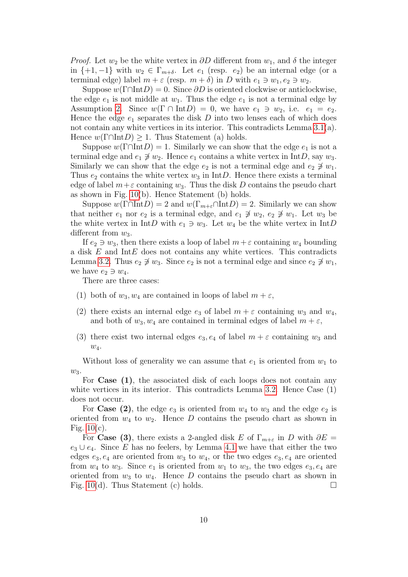*Proof.* Let  $w_2$  be the white vertex in  $\partial D$  different from  $w_1$ , and  $\delta$  the integer in  $\{+1,-1\}$  with  $w_2 \in \Gamma_{m+\delta}$ . Let  $e_1$  (resp.  $e_2$ ) be an internal edge (or a terminal edge) label  $m + \varepsilon$  (resp.  $m + \delta$ ) in D with  $e_1 \ni w_1, e_2 \ni w_2$ .

Suppose  $w(\Gamma \cap \text{Int}D) = 0$ . Since  $\partial D$  is oriented clockwise or anticlockwise, the edge  $e_1$  is not middle at  $w_1$ . Thus the edge  $e_1$  is not a terminal edge by Assumption [2.](#page-4-1) Since  $w(\Gamma \cap \text{Int}D) = 0$ , we have  $e_1 \ni w_2$ , i.e.  $e_1 = e_2$ . Hence the edge  $e_1$  separates the disk D into two lenses each of which does not contain any white vertices in its interior. This contradicts Lemma  $3.1(a)$ . Hence  $w(\Gamma \cap \text{Int}D) \geq 1$ . Thus Statement (a) holds.

Suppose  $w(\Gamma \cap \text{Int}D) = 1$ . Similarly we can show that the edge  $e_1$  is not a terminal edge and  $e_1 \not\ni w_2$ . Hence  $e_1$  contains a white vertex in IntD, say  $w_3$ . Similarly we can show that the edge  $e_2$  is not a terminal edge and  $e_2 \not\ni w_1$ . Thus  $e_2$  contains the white vertex  $w_3$  in IntD. Hence there exists a terminal edge of label  $m+\varepsilon$  containing  $w_3$ . Thus the disk D contains the pseudo chart as shown in Fig. [10\(](#page-8-0)b). Hence Statement (b) holds.

Suppose  $w(\Gamma \cap \text{Int}D) = 2$  and  $w(\Gamma_{m+\varepsilon} \cap \text{Int}D) = 2$ . Similarly we can show that neither  $e_1$  nor  $e_2$  is a terminal edge, and  $e_1 \not\ni w_2$ ,  $e_2 \not\ni w_1$ . Let  $w_3$  be the white vertex in IntD with  $e_1 \ni w_3$ . Let  $w_4$  be the white vertex in IntD different from  $w_3$ .

If  $e_2 \ni w_3$ , then there exists a loop of label  $m + \varepsilon$  containing  $w_4$  bounding a disk  $E$  and Int $E$  does not contains any white vertices. This contradicts Lemma [3.2.](#page-6-2) Thus  $e_2 \not\ni w_3$ . Since  $e_2$  is not a terminal edge and since  $e_2 \not\ni w_1$ , we have  $e_2 \ni w_4$ .

There are three cases:

- (1) both of  $w_3, w_4$  are contained in loops of label  $m + \varepsilon$ ,
- (2) there exists an internal edge  $e_3$  of label  $m + \varepsilon$  containing  $w_3$  and  $w_4$ , and both of  $w_3, w_4$  are contained in terminal edges of label  $m + \varepsilon$ ,
- (3) there exist two internal edges  $e_3, e_4$  of label  $m + \varepsilon$  containing  $w_3$  and  $w_4$ .

Without loss of generality we can assume that  $e_1$  is oriented from  $w_1$  to  $w_3$ .

For **Case** (1), the associated disk of each loops does not contain any white vertices in its interior. This contradicts Lemma [3.2.](#page-6-2) Hence Case  $(1)$ does not occur.

For Case (2), the edge  $e_3$  is oriented from  $w_4$  to  $w_3$  and the edge  $e_2$  is oriented from  $w_4$  to  $w_2$ . Hence D contains the pseudo chart as shown in Fig.  $10(c)$ .

For Case (3), there exists a 2-angled disk E of  $\Gamma_{m+\varepsilon}$  in D with  $\partial E =$  $e_3 \cup e_4$ . Since E has no feelers, by Lemma [4.1](#page-8-1) we have that either the two edges  $e_3, e_4$  are oriented from  $w_3$  to  $w_4$ , or the two edges  $e_3, e_4$  are oriented from  $w_4$  to  $w_3$ . Since  $e_1$  is oriented from  $w_1$  to  $w_3$ , the two edges  $e_3, e_4$  are oriented from  $w_3$  to  $w_4$ . Hence D contains the pseudo chart as shown in Fig. [10\(](#page-8-0)d). Thus Statement (c) holds.  $\square$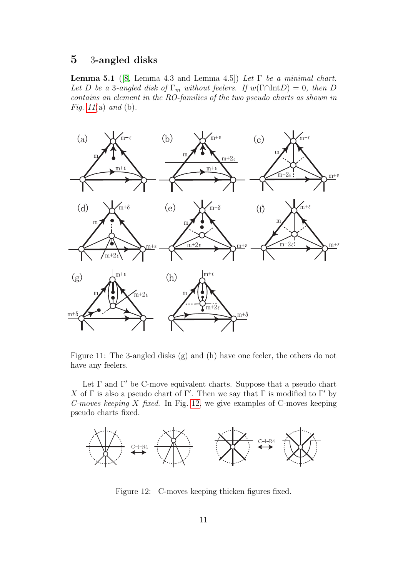## <span id="page-10-0"></span>5 3-angled disks

<span id="page-10-3"></span>**Lemma 5.1** ([\[8,](#page-26-3) Lemma 4.3 and Lemma 4.5]) Let  $\Gamma$  be a minimal chart. Let D be a 3-angled disk of  $\Gamma_m$  without feelers. If  $w(\Gamma \cap \text{Int}D) = 0$ , then D contains an element in the RO-families of the two pseudo charts as shown in Fig. [11](#page-10-1)(a) and (b).



<span id="page-10-1"></span>Figure 11: The 3-angled disks (g) and (h) have one feeler, the others do not have any feelers.

Let  $\Gamma$  and  $\Gamma'$  be C-move equivalent charts. Suppose that a pseudo chart X of  $\Gamma$  is also a pseudo chart of  $\Gamma'$ . Then we say that  $\Gamma$  is modified to  $\Gamma'$  by C-moves keeping X fixed. In Fig. [12,](#page-10-2) we give examples of C-moves keeping pseudo charts fixed.



<span id="page-10-2"></span>Figure 12: C-moves keeping thicken figures fixed.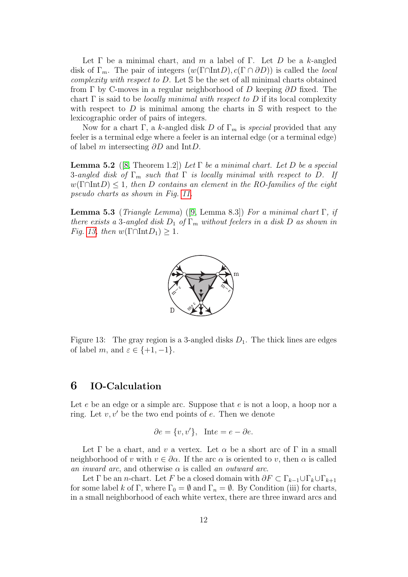Let Γ be a minimal chart, and m a label of Γ. Let D be a k-angled disk of  $\Gamma_m$ . The pair of integers  $(w(\Gamma \cap \text{Int}D), c(\Gamma \cap \partial D))$  is called the *local* complexity with respect to  $D$ . Let  $\mathcal S$  be the set of all minimal charts obtained from  $\Gamma$  by C-moves in a regular neighborhood of D keeping  $\partial D$  fixed. The chart  $\Gamma$  is said to be *locally minimal with respect to* D if its local complexity with respect to  $D$  is minimal among the charts in  $S$  with respect to the lexicographic order of pairs of integers.

Now for a chart Γ, a k-angled disk D of  $\Gamma_m$  is *special* provided that any feeler is a terminal edge where a feeler is an internal edge (or a terminal edge) of label m intersecting ∂D and IntD.

<span id="page-11-2"></span>**Lemma 5.2** ([\[8,](#page-26-3) Theorem 1.2]) Let  $\Gamma$  be a minimal chart. Let D be a special 3-angled disk of  $\Gamma_m$  such that  $\Gamma$  is locally minimal with respect to D. If  $w(\Gamma \cap \text{Int}D) \leq 1$ , then D contains an element in the RO-families of the eight pseudo charts as shown in Fig. [11.](#page-10-1)

<span id="page-11-3"></span>**Lemma 5.3** (*Triangle Lemma*) ([\[9,](#page-26-4) Lemma 8.3]) For a minimal chart Γ, if there exists a 3-angled disk  $D_1$  of  $\Gamma_m$  without feelers in a disk D as shown in Fig. [13,](#page-11-1) then  $w(\Gamma \cap \text{Int} D_1) \geq 1$ .



<span id="page-11-1"></span>Figure 13: The gray region is a 3-angled disks  $D_1$ . The thick lines are edges of label m, and  $\varepsilon \in \{+1, -1\}.$ 

### <span id="page-11-0"></span>6 IO-Calculation

Let  $e$  be an edge or a simple arc. Suppose that  $e$  is not a loop, a hoop nor a ring. Let  $v, v'$  be the two end points of e. Then we denote

$$
\partial e = \{v, v'\}, \quad \text{Int}e = e - \partial e.
$$

Let  $\Gamma$  be a chart, and v a vertex. Let  $\alpha$  be a short arc of  $\Gamma$  in a small neighborhood of v with  $v \in \partial \alpha$ . If the arc  $\alpha$  is oriented to v, then  $\alpha$  is called an inward arc, and otherwise  $\alpha$  is called an outward arc.

Let  $\Gamma$  be an *n*-chart. Let F be a closed domain with  $\partial F \subset \Gamma_{k-1} \cup \Gamma_k \cup \Gamma_{k+1}$ for some label k of Γ, where  $\Gamma_0 = \emptyset$  and  $\Gamma_n = \emptyset$ . By Condition (iii) for charts, in a small neighborhood of each white vertex, there are three inward arcs and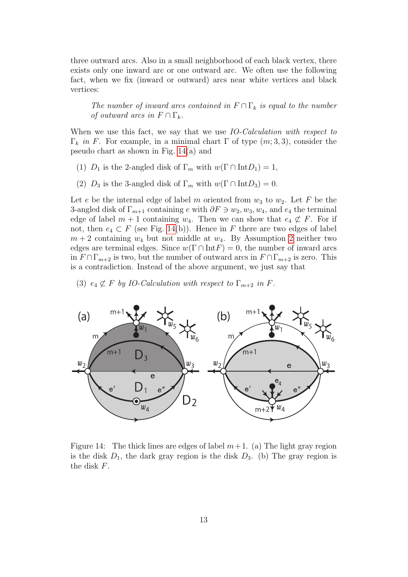three outward arcs. Also in a small neighborhood of each black vertex, there exists only one inward arc or one outward arc. We often use the following fact, when we fix (inward or outward) arcs near white vertices and black vertices:

The number of inward arcs contained in  $F \cap \Gamma_k$  is equal to the number of outward arcs in  $F \cap \Gamma_k$ .

When we use this fact, we say that we use IO-Calculation with respect to Γ<sub>k</sub> in F. For example, in a minimal chart Γ of type  $(m, 3, 3)$ , consider the pseudo chart as shown in Fig. [14\(](#page-12-0)a) and

- (1)  $D_1$  is the 2-angled disk of  $\Gamma_m$  with  $w(\Gamma \cap \text{Int}D_1) = 1$ ,
- (2)  $D_3$  is the 3-angled disk of  $\Gamma_m$  with  $w(\Gamma \cap \text{Int}D_3) = 0$ .

Let e be the internal edge of label m oriented from  $w_3$  to  $w_2$ . Let F be the 3-angled disk of  $\Gamma_{m+1}$  containing e with  $\partial F \ni w_2, w_3, w_4$ , and  $e_4$  the terminal edge of label  $m + 1$  containing  $w_4$ . Then we can show that  $e_4 \not\subset F$ . For if not, then  $e_4 \subset F$  (see Fig. [14\(](#page-12-0)b)). Hence in F there are two edges of label  $m + 2$  $m + 2$  containing  $w_4$  but not middle at  $w_4$ . By Assumption 2 neither two edges are terminal edges. Since  $w(\Gamma \cap \text{Int} F) = 0$ , the number of inward arcs in  $F \cap \Gamma_{m+2}$  is two, but the number of outward arcs in  $F \cap \Gamma_{m+2}$  is zero. This is a contradiction. Instead of the above argument, we just say that

(3)  $e_4 \not\subset F$  by IO-Calculation with respect to  $\Gamma_{m+2}$  in F.



<span id="page-12-0"></span>Figure 14: The thick lines are edges of label  $m+1$ . (a) The light gray region is the disk  $D_1$ , the dark gray region is the disk  $D_3$ . (b) The gray region is the disk F.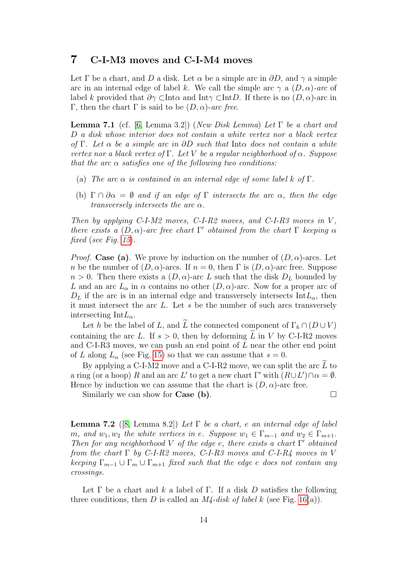#### <span id="page-13-0"></span>7 C-I-M3 moves and C-I-M4 moves

Let  $\Gamma$  be a chart, and D a disk. Let  $\alpha$  be a simple arc in  $\partial D$ , and  $\gamma$  a simple arc in an internal edge of label k. We call the simple arc  $\gamma$  a  $(D, \alpha)$ -arc of label k provided that  $\partial \gamma$  ⊂Int $\alpha$  and Int $\gamma$  ⊂Int $D$ . If there is no  $(D, \alpha)$ -arc in Γ, then the chart Γ is said to be  $(D, \alpha)$ -arc free.

<span id="page-13-2"></span>**Lemma 7.1** (cf. [\[6,](#page-26-1) Lemma 3.2]) (New Disk Lemma) Let  $\Gamma$  be a chart and D a disk whose interior does not contain a white vertex nor a black vertex of Γ. Let  $\alpha$  be a simple arc in  $\partial D$  such that Int $\alpha$  does not contain a white vertex nor a black vertex of Γ. Let V be a regular neighborhood of  $\alpha$ . Suppose that the arc  $\alpha$  satisfies one of the following two conditions:

- (a) The arc  $\alpha$  is contained in an internal edge of some label k of  $\Gamma$ .
- (b)  $\Gamma \cap \partial \alpha = \emptyset$  and if an edge of  $\Gamma$  intersects the arc  $\alpha$ , then the edge transversely intersects the arc  $\alpha$ .

Then by applying C-I-M2 moves, C-I-R2 moves, and C-I-R3 moves in  $V$ , there exists a  $(D, \alpha)$ -arc free chart Γ' obtained from the chart Γ keeping  $\alpha$ fixed (see Fig. [15](#page-14-0)).

*Proof.* Case (a). We prove by induction on the number of  $(D, \alpha)$ -arcs. Let n be the number of  $(D, \alpha)$ -arcs. If  $n = 0$ , then  $\Gamma$  is  $(D, \alpha)$ -arc free. Suppose  $n > 0$ . Then there exists a  $(D, \alpha)$ -arc L such that the disk  $D<sub>L</sub>$  bounded by L and an arc  $L_{\alpha}$  in  $\alpha$  contains no other  $(D, \alpha)$ -arc. Now for a proper arc of  $D<sub>L</sub>$  if the arc is in an internal edge and transversely intersects Int $L<sub>\alpha</sub>$ , then it must intersect the arc L. Let s be the number of such arcs transversely intersecting Int $L_{\alpha}$ .

Let h be the label of L, and L the connected component of  $\Gamma_h \cap (D \cup V)$ containing the arc L. If  $s > 0$ , then by deforming L in V by C-I-R2 moves and C-I-R3 moves, we can push an end point of L near the other end point of L along  $L_{\alpha}$  (see Fig. [15\)](#page-14-0) so that we can assume that  $s = 0$ .

By applying a C-I-M2 move and a C-I-R2 move, we can split the arc  $L$  to a ring (or a hoop) R and an arc L' to get a new chart  $\Gamma'$  with  $(R\cup L') \cap \alpha = \emptyset$ . Hence by induction we can assume that the chart is  $(D, \alpha)$ -arc free.

Similarly we can show for **Case** (b).  $\Box$ 

<span id="page-13-1"></span>**Lemma 7.2** ([\[8,](#page-26-3) Lemma 8.2]) Let  $\Gamma$  be a chart, e an internal edge of label m, and  $w_1, w_2$  the white vertices in e. Suppose  $w_1 \in \Gamma_{m-1}$  and  $w_2 \in \Gamma_{m+1}$ . Then for any neighborhood V of the edge e, there exists a chart  $\Gamma'$  obtained from the chart  $\Gamma$  by C-I-R2 moves, C-I-R3 moves and C-I-R4 moves in V keeping  $\Gamma_{m-1} \cup \Gamma_m \cup \Gamma_{m+1}$  fixed such that the edge e does not contain any crossings.

Let  $\Gamma$  be a chart and k a label of  $\Gamma$ . If a disk D satisfies the following three conditions, then D is called an  $M\ell$ -disk of label k (see Fig. [16\(](#page-14-1)a)).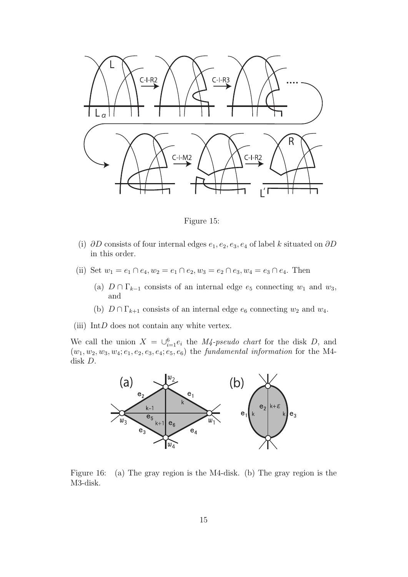

<span id="page-14-0"></span>Figure 15:

- (i) ∂D consists of four internal edges  $e_1, e_2, e_3, e_4$  of label k situated on ∂D in this order.
- (ii) Set  $w_1 = e_1 \cap e_4, w_2 = e_1 \cap e_2, w_3 = e_2 \cap e_3, w_4 = e_3 \cap e_4$ . Then
	- (a)  $D \cap \Gamma_{k-1}$  consists of an internal edge  $e_5$  connecting  $w_1$  and  $w_3$ , and
	- (b)  $D \cap \Gamma_{k+1}$  consists of an internal edge  $e_6$  connecting  $w_2$  and  $w_4$ .
- (iii) Int $D$  does not contain any white vertex.

We call the union  $X = \bigcup_{i=1}^{6} e_i$  the *M4-pseudo chart* for the disk *D*, and  $(w_1, w_2, w_3, w_4; e_1, e_2, e_3, e_4; e_5, e_6)$  the fundamental information for the M4disk D.



<span id="page-14-2"></span><span id="page-14-1"></span>Figure 16: (a) The gray region is the M4-disk. (b) The gray region is the M3-disk.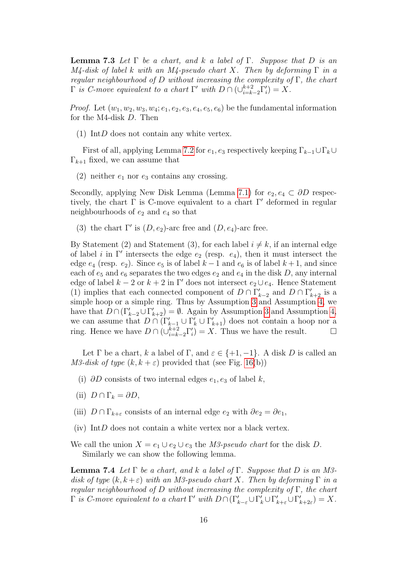**Lemma 7.3** Let  $\Gamma$  be a chart, and k a label of  $\Gamma$ . Suppose that D is an  $M_4$ -disk of label k with an M4-pseudo chart X. Then by deforming  $\Gamma$  in a regular neighbourhood of D without increasing the complexity of  $\Gamma$ , the chart  $\Gamma$  is C-move equivalent to a chart  $\Gamma'$  with  $D \cap (\cup_{i=k-2}^{k+2} \Gamma'_i) = X$ .

*Proof.* Let  $(w_1, w_2, w_3, w_4; e_1, e_2, e_3, e_4, e_5, e_6)$  be the fundamental information for the M4-disk D. Then

(1) Int $D$  does not contain any white vertex.

First of all, applying Lemma [7.2](#page-13-1) for  $e_1, e_3$  respectively keeping  $\Gamma_{k-1} \cup \Gamma_k \cup$  $\Gamma_{k+1}$  fixed, we can assume that

(2) neither  $e_1$  nor  $e_3$  contains any crossing.

Secondly, applying New Disk Lemma (Lemma [7.1\)](#page-13-2) for  $e_2, e_4 \subset \partial D$  respectively, the chart  $\Gamma$  is C-move equivalent to a chart  $\Gamma'$  deformed in regular neighbourhoods of  $e_2$  and  $e_4$  so that

(3) the chart  $\Gamma'$  is  $(D, e_2)$ -arc free and  $(D, e_4)$ -arc free.

By Statement (2) and Statement (3), for each label  $i \neq k$ , if an internal edge of label *i* in  $\Gamma'$  intersects the edge  $e_2$  (resp.  $e_4$ ), then it must intersect the edge  $e_4$  (resp.  $e_2$ ). Since  $e_5$  is of label  $k-1$  and  $e_6$  is of label  $k+1$ , and since each of  $e_5$  and  $e_6$  separates the two edges  $e_2$  and  $e_4$  in the disk D, any internal edge of label  $k - 2$  or  $k + 2$  in Γ' does not intersect  $e_2 \cup e_4$ . Hence Statement (1) implies that each connected component of  $D \cap \Gamma'_{k-2}$  and  $D \cap \Gamma'_{k+2}$  is a simple hoop or a simple ring. Thus by Assumption [3](#page-4-2) and Assumption [4,](#page-4-3) we have that  $D \cap (\Gamma_{k-2}' \cup \Gamma_{k+2}') = \emptyset$ . Again by Assumption [3](#page-4-2) and Assumption [4,](#page-4-3) we can assume that  $D \cap (\Gamma_{k-1}' \cup \Gamma_k' \cup \Gamma_{k+1}')$  does not contain a hoop nor a ring. Hence we have  $D \cap (\bigcup_{i=k-2}^{k+2} \Gamma'_i) = X$ . Thus we have the result.  $\Box$ 

Let  $\Gamma$  be a chart, k a label of  $\Gamma$ , and  $\varepsilon \in \{+1, -1\}$ . A disk D is called an M3-disk of type  $(k, k + \varepsilon)$  provided that (see Fig. [16\(](#page-14-1)b))

- (i)  $\partial D$  consists of two internal edges  $e_1, e_3$  of label k,
- (ii)  $D \cap \Gamma_k = \partial D$ ,
- (iii)  $D \cap \Gamma_{k+\varepsilon}$  consists of an internal edge  $e_2$  with  $\partial e_2 = \partial e_1$ ,
- <span id="page-15-0"></span>(iv) Int $D$  does not contain a white vertex nor a black vertex.
- We call the union  $X = e_1 \cup e_2 \cup e_3$  the M3-pseudo chart for the disk D. Similarly we can show the following lemma.

**Lemma 7.4** Let  $\Gamma$  be a chart, and k a label of  $\Gamma$ . Suppose that D is an M3disk of type  $(k, k + \varepsilon)$  with an M3-pseudo chart X. Then by deforming  $\Gamma$  in a regular neighbourhood of D without increasing the complexity of  $\Gamma$ , the chart  $\Gamma$  is C-move equivalent to a chart  $\Gamma'$  with  $D \cap (\Gamma'_{k-\varepsilon} \cup \Gamma'_{k} \cup \Gamma'_{k+\varepsilon} \cup \Gamma'_{k+2\varepsilon}) = X$ .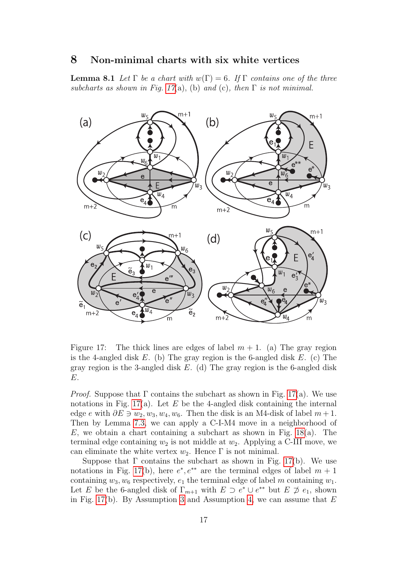#### <span id="page-16-0"></span>8 Non-minimal charts with six white vertices

<span id="page-16-2"></span>**Lemma 8.1** Let  $\Gamma$  be a chart with  $w(\Gamma) = 6$ . If  $\Gamma$  contains one of the three subcharts as shown in Fig. [17](#page-16-1)(a), (b) and (c), then  $\Gamma$  is not minimal.



<span id="page-16-1"></span>Figure 17: The thick lines are edges of label  $m + 1$ . (a) The gray region is the 4-angled disk  $E$ . (b) The gray region is the 6-angled disk  $E$ . (c) The gray region is the 3-angled disk  $E$ . (d) The gray region is the 6-angled disk E.

*Proof.* Suppose that  $\Gamma$  contains the subchart as shown in Fig. [17\(](#page-16-1)a). We use notations in Fig. [17\(](#page-16-1)a). Let E be the 4-angled disk containing the internal edge e with  $\partial E \ni w_2, w_3, w_4, w_6$ . Then the disk is an M4-disk of label  $m+1$ . Then by Lemma [7.3,](#page-14-2) we can apply a C-I-M4 move in a neighborhood of  $E$ , we obtain a chart containing a subchart as shown in Fig. [18\(](#page-18-1)a). The terminal edge containing  $w_2$  is not middle at  $w_2$ . Applying a C-III move, we can eliminate the white vertex  $w_2$ . Hence  $\Gamma$  is not minimal.

Suppose that  $\Gamma$  contains the subchart as shown in Fig. [17\(](#page-16-1)b). We use notations in Fig. [17\(](#page-16-1)b), here  $e^*, e^{**}$  are the terminal edges of label  $m + 1$ containing  $w_3, w_6$  respectively,  $e_1$  the terminal edge of label m containing  $w_1$ . Let E be the 6-angled disk of  $\Gamma_{m+1}$  with  $E \supset e^* \cup e^{**}$  but  $E \not\supset e_1$ , shown in Fig. [17\(](#page-16-1)b). By Assumption [3](#page-4-2) and Assumption [4,](#page-4-3) we can assume that  $E$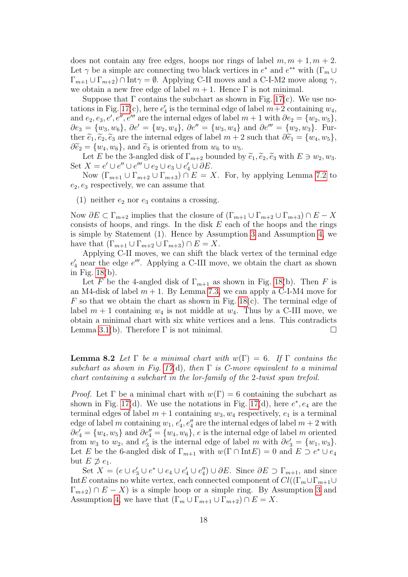does not contain any free edges, hoops nor rings of label  $m, m + 1, m + 2$ . Let  $\gamma$  be a simple arc connecting two black vertices in  $e^*$  and  $e^{**}$  with  $(\Gamma_m \cup$  $\Gamma_{m+1} \cup \Gamma_{m+2}$ )  $\cap$  Int $\gamma = \emptyset$ . Applying C-II moves and a C-I-M2 move along  $\gamma$ , we obtain a new free edge of label  $m + 1$ . Hence  $\Gamma$  is not minimal.

Suppose that  $\Gamma$  contains the subchart as shown in Fig. [17\(](#page-16-1)c). We use no-tations in Fig. [17\(](#page-16-1)c), here  $e'_4$  is the terminal edge of label  $m+2$  containing  $w_4$ , and  $e_2, e_3, e', e'', e'''$  are the internal edges of label  $m + 1$  with  $\partial e_2 = \{w_2, w_5\}$ ,  $\partial e_3 = \{w_3, w_6\}, \partial e' = \{w_2, w_4\}, \partial e'' = \{w_3, w_4\}$  and  $\partial e'''' = \{w_2, w_3\}.$  Further  $\tilde{e}_1, \tilde{e}_2, \tilde{e}_3$  are the internal edges of label  $m + 2$  such that  $\partial \tilde{e}_1 = \{w_4, w_5\},\$  $\partial \widetilde{\epsilon}_2 = \{w_4, w_6\}$ , and  $\widetilde{\epsilon}_3$  is oriented from  $w_6$  to  $w_5$ .

Let E be the 3-angled disk of  $\Gamma_{m+2}$  bounded by  $\tilde{e}_1, \tilde{e}_2, \tilde{e}_3$  with  $E \ni w_2, w_3$ . Set  $X = e' \cup e'' \cup e''' \cup e_2 \cup e_3 \cup e'_4 \cup \partial E$ .

Now  $(\Gamma_{m+1} \cup \Gamma_{m+2} \cup \Gamma_{m+3}) \cap E = X$ . For, by applying Lemma [7.2](#page-13-1) to  $e_2, e_3$  respectively, we can assume that

(1) neither  $e_2$  nor  $e_3$  contains a crossing.

Now  $\partial E \subset \Gamma_{m+2}$  implies that the closure of  $(\Gamma_{m+1} \cup \Gamma_{m+2} \cup \Gamma_{m+3}) \cap E - X$ consists of hoops, and rings. In the disk  $E$  each of the hoops and the rings is simple by Statement (1). Hence by Assumption [3](#page-4-2) and Assumption [4,](#page-4-3) we have that  $(\Gamma_{m+1} \cup \Gamma_{m+2} \cup \Gamma_{m+3}) \cap E = X$ .

Applying C-II moves, we can shift the black vertex of the terminal edge  $e_4'$  near the edge  $e'''$ . Applying a C-III move, we obtain the chart as shown in Fig. [18\(](#page-18-1)b).

Let F be the 4-angled disk of  $\Gamma_{m+1}$  as shown in Fig. [18\(](#page-18-1)b). Then F is an M4-disk of label  $m + 1$ . By Lemma [7.3,](#page-14-2) we can apply a C-I-M4 move for  $F$  so that we obtain the chart as shown in Fig. [18\(](#page-18-1)c). The terminal edge of label  $m + 1$  containing  $w_4$  is not middle at  $w_4$ . Thus by a C-III move, we obtain a minimal chart with six white vertices and a lens. This contradicts Lemma [3.1\(](#page-5-2)b). Therefore  $\Gamma$  is not minimal.  $\Box$ 

<span id="page-17-0"></span>**Lemma 8.2** Let  $\Gamma$  be a minimal chart with  $w(\Gamma) = 6$ . If  $\Gamma$  contains the subchart as shown in Fig. [17](#page-16-1)(d), then  $\Gamma$  is C-move equivalent to a minimal chart containing a subchart in the lor-family of the 2-twist spun trefoil.

*Proof.* Let  $\Gamma$  be a minimal chart with  $w(\Gamma) = 6$  containing the subchart as shown in Fig. [17\(](#page-16-1)d). We use the notations in Fig. 17(d), here  $e^*, e_4$  are the terminal edges of label  $m + 1$  containing  $w_3, w_4$  respectively,  $e_1$  is a terminal edge of label m containing  $w_1, e'_4, e''_4$  are the internal edges of label  $m + 2$  with  $\partial e_4' = \{w_4, w_5\}$  and  $\partial e_4'' = \{w_4, w_6\}$ , e is the internal edge of label m oriented from  $w_3$  to  $w_2$ , and  $e'_3$  is the internal edge of label m with  $\partial e'_3 = \{w_1, w_3\}.$ Let E be the 6-angled disk of  $\Gamma_{m+1}$  with  $w(\Gamma \cap \text{Int} E) = 0$  and  $E \supset e^* \cup e_4$ but  $E \not\supseteq e_1$ .

Set  $X = (e \cup e'_3 \cup e^* \cup e_4 \cup e'_4 \cup e''_4) \cup \partial E$ . Since  $\partial E \supset \Gamma_{m+1}$ , and since IntE contains no white vertex, each connected component of  $Cl((\Gamma_m \cup \Gamma_{m+1} \cup$  $\Gamma_{m+2}$ )  $\cap$  E – X) is a simple hoop or a simple ring. By Assumption [3](#page-4-2) and Assumption [4,](#page-4-3) we have that  $(\Gamma_m \cup \Gamma_{m+1} \cup \Gamma_{m+2}) \cap E = X$ .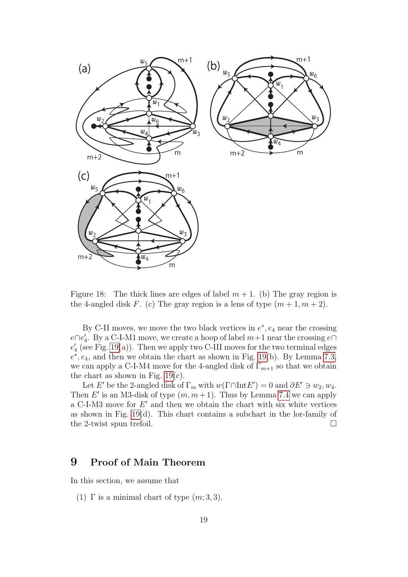

<span id="page-18-1"></span>Figure 18: The thick lines are edges of label  $m + 1$ . (b) The gray region is the 4-angled disk F. (c) The gray region is a lens of type  $(m+1, m+2)$ .

By C-II moves, we move the two black vertices in  $e^*$ ,  $e_4$  near the crossing  $e \cap e'_4$ . By a C-I-M1 move, we create a hoop of label  $m+1$  near the crossing  $e \cap$  $e_4'$  (see Fig. [19\(](#page-19-0)a)). Then we apply two C-III moves for the two terminal edges  $e^*$ ,  $e_4$ , and then we obtain the chart as shown in Fig. [19\(](#page-19-0)b). By Lemma [7.3,](#page-14-2) we can apply a C-I-M4 move for the 4-angled disk of  $\Gamma_{m+1}$  so that we obtain the chart as shown in Fig.  $19(c)$ .

Let E' be the 2-angled disk of  $\Gamma_m$  with  $w(\Gamma \cap \text{Int} E') = 0$  and  $\partial E' \ni w_2, w_4$ . Then E' is an M3-disk of type  $(m, m+1)$ . Thus by Lemma [7.4](#page-15-0) we can apply a C-I-M3 move for  $E'$  and then we obtain the chart with six white vertices as shown in Fig. [19\(](#page-19-0)d). This chart contains a subchart in the lor-family of the 2-twist spun trefoil.  $\square$ 

### <span id="page-18-0"></span>9 Proof of Main Theorem

In this section, we assume that

(1)  $\Gamma$  is a minimal chart of type  $(m; 3, 3)$ .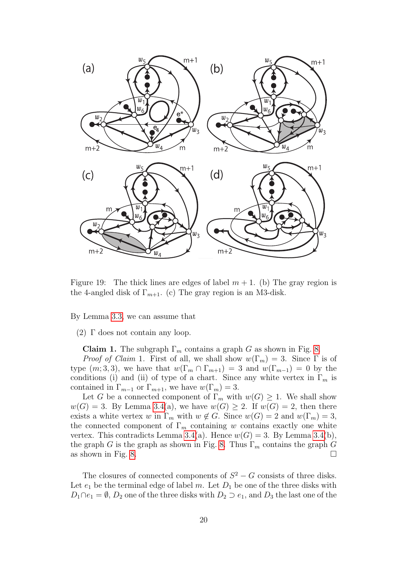

<span id="page-19-0"></span>Figure 19: The thick lines are edges of label  $m + 1$ . (b) The gray region is the 4-angled disk of  $\Gamma_{m+1}$ . (c) The gray region is an M3-disk.

By Lemma [3.3,](#page-6-3) we can assume that

(2)  $\Gamma$  does not contain any loop.

**Claim 1.** The subgraph  $\Gamma_m$  contains a graph G as shown in Fig. [8.](#page-7-2)

*Proof of Claim* 1. First of all, we shall show  $w(\Gamma_m) = 3$ . Since  $\Gamma$  is of type  $(m, 3, 3)$ , we have that  $w(\Gamma_m \cap \Gamma_{m+1}) = 3$  and  $w(\Gamma_{m-1}) = 0$  by the conditions (i) and (ii) of type of a chart. Since any white vertex in  $\Gamma_m$  is contained in  $\Gamma_{m-1}$  or  $\Gamma_{m+1}$ , we have  $w(\Gamma_m) = 3$ .

Let G be a connected component of  $\Gamma_m$  with  $w(G) \geq 1$ . We shall show  $w(G) = 3$ . By Lemma [3.4\(](#page-6-4)a), we have  $w(G) \geq 2$ . If  $w(G) = 2$ , then there exists a white vertex w in  $\Gamma_m$  with  $w \notin G$ . Since  $w(G) = 2$  and  $w(\Gamma_m) = 3$ , the connected component of  $\Gamma_m$  containing w contains exactly one white vertex. This contradicts Lemma [3.4\(](#page-6-4)a). Hence  $w(G) = 3$ . By Lemma 3.4(b), the graph G is the graph as shown in Fig. [8.](#page-7-2) Thus  $\Gamma_m$  contains the graph G as shown in Fig. [8.](#page-7-2)  $\Box$ 

The closures of connected components of  $S^2 - G$  consists of three disks. Let  $e_1$  be the terminal edge of label m. Let  $D_1$  be one of the three disks with  $D_1 \cap e_1 = \emptyset$ ,  $D_2$  one of the three disks with  $D_2 \supset e_1$ , and  $D_3$  the last one of the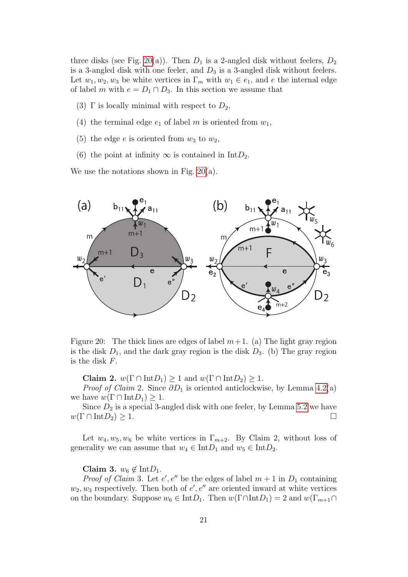three disks (see Fig. [20\(](#page-20-0)a)). Then  $D_1$  is a 2-angled disk without feelers,  $D_2$ is a 3-angled disk with one feeler, and  $D_3$  is a 3-angled disk without feelers. Let  $w_1, w_2, w_3$  be white vertices in  $\Gamma_m$  with  $w_1 \in e_1$ , and e the internal edge of label m with  $e = D_1 \cap D_3$ . In this section we assume that

- (3)  $\Gamma$  is locally minimal with respect to  $D_2$ ,
- (4) the terminal edge  $e_1$  of label m is oriented from  $w_1$ ,
- (5) the edge e is oriented from  $w_3$  to  $w_2$ ,
- (6) the point at infinity  $\infty$  is contained in Int $D_2$ .

We use the notations shown in Fig. [20\(](#page-20-0)a).



<span id="page-20-0"></span>Figure 20: The thick lines are edges of label  $m+1$ . (a) The light gray region is the disk  $D_1$ , and the dark gray region is the disk  $D_3$ . (b) The gray region is the disk F.

Claim 2.  $w(\Gamma \cap \text{Int}D_1) \geq 1$  and  $w(\Gamma \cap \text{Int}D_2) \geq 1$ .

*Proof of Claim 2.* Since  $\partial D_1$  is oriented anticlockwise, by Lemma [4.2\(](#page-8-2)a) we have  $w(\Gamma \cap \text{Int}D_1) \geq 1$ .

Since  $D_2$  is a special 3-angled disk with one feeler, by Lemma [5.2](#page-11-2) we have  $w(\Gamma \cap \text{Int}D_2) \geq 1.$ 

Let  $w_4, w_5, w_6$  be white vertices in  $\Gamma_{m+2}$ . By Claim 2, without loss of generality we can assume that  $w_4 \in \text{Int}D_1$  and  $w_5 \in \text{Int}D_2$ .

#### Claim 3.  $w_6 \notin \text{Int}D_1$ .

*Proof of Claim 3.* Let  $e'$ ,  $e''$  be the edges of label  $m + 1$  in  $D_1$  containing  $w_2, w_3$  respectively. Then both of  $e', e''$  are oriented inward at white vertices on the boundary. Suppose  $w_6 \in \text{Int}D_1$ . Then  $w(\Gamma \cap \text{Int}D_1) = 2$  and  $w(\Gamma_{m+1} \cap$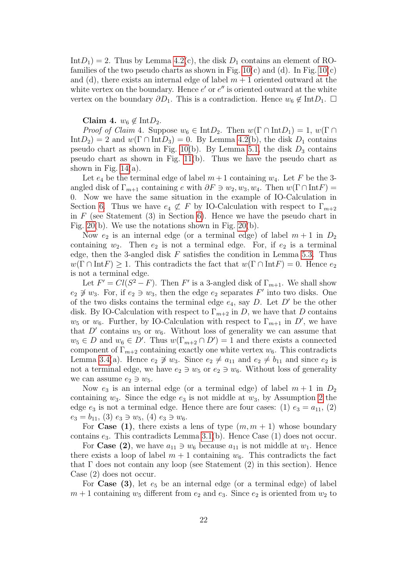$IntD_1$  = 2. Thus by Lemma [4.2\(](#page-8-2)c), the disk  $D_1$  contains an element of ROfamilies of the two pseudo charts as shown in Fig.  $10(c)$  and (d). In Fig.  $10(c)$ and (d), there exists an internal edge of label  $m + 1$  oriented outward at the white vertex on the boundary. Hence  $e'$  or  $e''$  is oriented outward at the white vertex on the boundary  $\partial D_1$ . This is a contradiction. Hence  $w_6 \notin \text{Int} D_1$ .  $\Box$ 

#### Claim 4.  $w_6 \notin \text{Int}D_2$ .

*Proof of Claim* 4. Suppose  $w_6 \in \text{Int}D_2$ . Then  $w(\Gamma \cap \text{Int}D_1) = 1$ ,  $w(\Gamma \cap \Gamma)$  $\text{Int}D_2$  = 2 and  $w(\Gamma \cap \text{Int}D_3) = 0$ . By Lemma [4.2\(](#page-8-2)b), the disk  $D_1$  contains pseudo chart as shown in Fig. [10\(](#page-8-0)b). By Lemma [5.1,](#page-10-3) the disk  $D_3$  contains pseudo chart as shown in Fig. [11\(](#page-10-1)b). Thus we have the pseudo chart as shown in Fig.  $14(a)$ .

Let  $e_4$  be the terminal edge of label  $m+1$  containing  $w_4$ . Let F be the 3angled disk of  $\Gamma_{m+1}$  containing e with  $\partial F \ni w_2, w_3, w_4$ . Then  $w(\Gamma \cap \text{Int} F) =$ 0. Now we have the same situation in the example of IO-Calculation in Section [6.](#page-11-0) Thus we have  $e_4 \not\subset F$  by IO-Calculation with respect to  $\Gamma_{m+2}$ in  $F$  (see Statement (3) in Section [6\)](#page-11-0). Hence we have the pseudo chart in Fig. [20\(](#page-20-0)b). We use the notations shown in Fig. [20\(](#page-20-0)b).

Now  $e_2$  is an internal edge (or a terminal edge) of label  $m+1$  in  $D_2$ containing  $w_2$ . Then  $e_2$  is not a terminal edge. For, if  $e_2$  is a terminal edge, then the 3-angled disk  $F$  satisfies the condition in Lemma [5.3.](#page-11-3) Thus  $w(\Gamma \cap \text{Int} F) \geq 1$ . This contradicts the fact that  $w(\Gamma \cap \text{Int} F) = 0$ . Hence  $e_2$ is not a terminal edge.

Let  $F' = Cl(S^2 - F)$ . Then F' is a 3-angled disk of  $\Gamma_{m+1}$ . We shall show  $e_2 \not\ni w_3$ . For, if  $e_2 \ni w_3$ , then the edge  $e_2$  separates F' into two disks. One of the two disks contains the terminal edge  $e_4$ , say D. Let D' be the other disk. By IO-Calculation with respect to  $\Gamma_{m+2}$  in D, we have that D contains  $w_5$  or  $w_6$ . Further, by IO-Calculation with respect to  $\Gamma_{m+1}$  in D', we have that  $D'$  contains  $w_5$  or  $w_6$ . Without loss of generality we can assume that  $w_5 \in D$  and  $w_6 \in D'$ . Thus  $w(\Gamma_{m+2} \cap D') = 1$  and there exists a connected component of  $\Gamma_{m+2}$  containing exactly one white vertex  $w_6$ . This contradicts Lemma [3.4\(](#page-6-4)a). Hence  $e_2 \not\supset w_3$ . Since  $e_2 \neq a_{11}$  and  $e_2 \neq b_{11}$  and since  $e_2$  is not a terminal edge, we have  $e_2 \ni w_5$  or  $e_2 \ni w_6$ . Without loss of generality we can assume  $e_2 \ni w_5$ .

Now  $e_3$  is an internal edge (or a terminal edge) of label  $m+1$  in  $D_2$ containing  $w_3$ . Since the edge  $e_3$  is not middle at  $w_3$ , by Assumption [2](#page-4-1) the edge  $e_3$  is not a terminal edge. Hence there are four cases: (1)  $e_3 = a_{11}$ , (2)  $e_3 = b_{11}$ , (3)  $e_3 \ni w_5$ , (4)  $e_3 \ni w_6$ .

For Case (1), there exists a lens of type  $(m, m + 1)$  whose boundary contains  $e_3$ . This contradicts Lemma [3.1\(](#page-5-2)b). Hence Case (1) does not occur.

For Case (2), we have  $a_{11} \ni w_6$  because  $a_{11}$  is not middle at  $w_1$ . Hence there exists a loop of label  $m + 1$  containing  $w_6$ . This contradicts the fact that  $\Gamma$  does not contain any loop (see Statement (2) in this section). Hence Case (2) does not occur.

For Case  $(3)$ , let  $e_5$  be an internal edge (or a terminal edge) of label  $m + 1$  containing  $w_5$  different from  $e_2$  and  $e_3$ . Since  $e_2$  is oriented from  $w_2$  to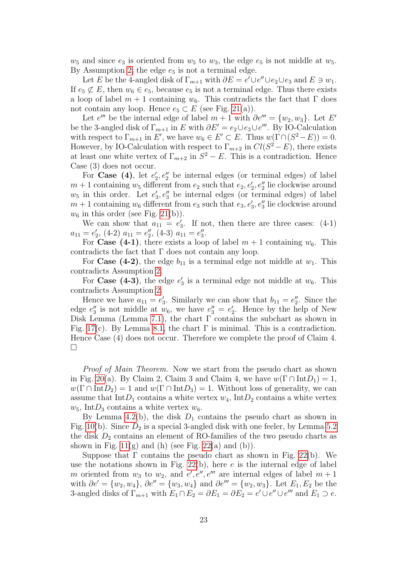$w_5$  and since  $e_3$  is oriented from  $w_5$  to  $w_3$ , the edge  $e_5$  is not middle at  $w_5$ . By Assumption [2,](#page-4-1) the edge  $e_5$  is not a terminal edge.

Let E be the 4-angled disk of  $\Gamma_{m+1}$  with  $\partial E = e' \cup e'' \cup e_2 \cup e_3$  and  $E \ni w_1$ . If  $e_5 \not\subset E$ , then  $w_6 \in e_5$ , because  $e_5$  is not a terminal edge. Thus there exists a loop of label  $m + 1$  containing  $w_6$ . This contradicts the fact that  $\Gamma$  does not contain any loop. Hence  $e_5 \subset E$  (see Fig. [21\(](#page-23-0)a)).

Let  $e'''$  be the internal edge of label  $m + 1$  with  $\partial e''' = \{w_2, w_3\}$ . Let E' be the 3-angled disk of  $\Gamma_{m+1}$  in E with  $\partial E' = e_2 \cup e_3 \cup e'''$ . By IO-Calculation with respect to  $\Gamma_{m+1}$  in E', we have  $w_6 \in E' \subset E$ . Thus  $w(\Gamma \cap (S^2 - E)) = 0$ . However, by IO-Calculation with respect to  $\Gamma_{m+2}$  in  $Cl(S^2 - E)$ , there exists at least one white vertex of  $\Gamma_{m+2}$  in  $S^2 - E$ . This is a contradiction. Hence Case (3) does not occur.

For Case (4), let  $e_2, e_2''$  be internal edges (or terminal edges) of label  $m + 1$  containing  $w_5$  different from  $e_2$  such that  $e_2, e'_2, e''_2$  lie clockwise around  $w_5$  in this order. Let  $e'_3, e''_3$  be internal edges (or terminal edges) of label  $m + 1$  containing  $w_6$  different from  $e_3$  such that  $e_3, e'_3, e''_3$  lie clockwise around  $w_6$  in this order (see Fig. [21\(](#page-23-0)b)).

We can show that  $a_{11} = e'_3$ . If not, then there are three cases: (4-1)  $a_{11} = e'_2$ , (4-2)  $a_{11} = e''_2$ , (4-3)  $a_{11} = e''_3$ .

For Case (4-1), there exists a loop of label  $m + 1$  containing  $w_6$ . This contradicts the fact that  $\Gamma$  does not contain any loop.

For **Case (4-2)**, the edge  $b_{11}$  is a terminal edge not middle at  $w_1$ . This contradicts Assumption [2.](#page-4-1)

For Case (4-3), the edge  $e'_3$  is a terminal edge not middle at  $w_6$ . This contradicts Assumption [2.](#page-4-1)

Hence we have  $a_{11} = e'_3$ . Similarly we can show that  $b_{11} = e''_2$ . Since the edge  $e''_3$  is not middle at  $w_6$ , we have  $e''_3 = e'_2$ . Hence by the help of New Disk Lemma (Lemma [7.1\)](#page-13-2), the chart  $\Gamma$  contains the subchart as shown in Fig. [17\(](#page-16-1)c). By Lemma [8.1,](#page-16-2) the chart  $\Gamma$  is minimal. This is a contradiction. Hence Case (4) does not occur. Therefore we complete the proof of Claim 4.  $\Box$ 

Proof of Main Theorem. Now we start from the pseudo chart as shown in Fig. [20\(](#page-20-0)a). By Claim 2, Claim 3 and Claim 4, we have  $w(\Gamma \cap \text{Int}D_1) = 1$ ,  $w(\Gamma \cap \text{Int}D_2) = 1$  and  $w(\Gamma \cap \text{Int}D_3) = 1$ . Without loss of generality, we can assume that Int $D_1$  contains a white vertex  $w_4$ , Int $D_2$  contains a white vertex  $w_5$ , Int $D_3$  contains a white vertex  $w_6$ .

By Lemma [4.2\(](#page-8-2)b), the disk  $D_1$  contains the pseudo chart as shown in Fig. [10\(](#page-8-0)b). Since  $D_2$  is a special 3-angled disk with one feeler, by Lemma [5.2](#page-11-2) the disk  $D_2$  contains an element of RO-families of the two pseudo charts as shown in Fig.  $11(g)$  and (h) (see Fig. [22\(](#page-24-0)a) and (b)).

Suppose that  $\Gamma$  contains the pseudo chart as shown in Fig. [22\(](#page-24-0)b). We use the notations shown in Fig.  $22(b)$ , here e is the internal edge of label m oriented from  $w_3$  to  $w_2$ , and  $e', e'', e'''$  are internal edges of label  $m + 1$ with  $\partial e' = \{w_2, w_4\}, \partial e'' = \{w_3, w_4\}$  and  $\partial e''' = \{w_2, w_3\}.$  Let  $E_1, E_2$  be the 3-angled disks of  $\Gamma_{m+1}$  with  $E_1 \cap E_2 = \partial E_1 = \partial E_2 = e' \cup e'' \cup e'''$  and  $E_1 \supset e$ .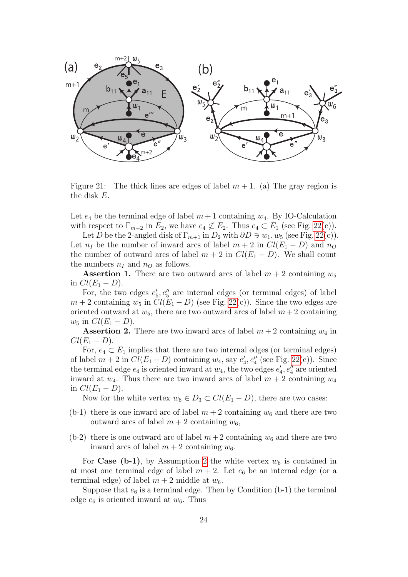

<span id="page-23-0"></span>Figure 21: The thick lines are edges of label  $m + 1$ . (a) The gray region is the disk E.

Let  $e_4$  be the terminal edge of label  $m+1$  containing  $w_4$ . By IO-Calculation with respect to  $\Gamma_{m+2}$  in  $E_2$ , we have  $e_4 \not\subset E_2$ . Thus  $e_4 \subset E_1$  (see Fig. [22\(](#page-24-0)c)).

Let D be the 2-angled disk of  $\Gamma_{m+1}$  in  $D_2$  with  $\partial D \ni w_1, w_5$  (see Fig. [22\(](#page-24-0)c)). Let  $n_I$  be the number of inward arcs of label  $m + 2$  in  $Cl(E_1 - D)$  and  $n_O$ the number of outward arcs of label  $m + 2$  in  $Cl(E_1 - D)$ . We shall count the numbers  $n_I$  and  $n_O$  as follows.

**Assertion 1.** There are two outward arcs of label  $m + 2$  containing  $w_5$ in  $Cl(E_1 - D)$ .

For, the two edges  $e'_5, e''_5$  are internal edges (or terminal edges) of label  $m + 2$  containing  $w_5$  in  $Cl(E_1 - D)$  (see Fig. [22\(](#page-24-0)c)). Since the two edges are oriented outward at  $w_5$ , there are two outward arcs of label  $m+2$  containing  $w_5$  in  $Cl(E_1 - D)$ .

**Assertion 2.** There are two inward arcs of label  $m + 2$  containing  $w_4$  in  $Cl(E_1-D).$ 

For,  $e_4 \subset E_1$  implies that there are two internal edges (or terminal edges) of label  $m + 2$  in  $Cl(E_1 - D)$  containing  $w_4$ , say  $e'_4$ ,  $e''_4$  (see Fig. [22\(](#page-24-0)c)). Since the terminal edge  $e_4$  is oriented inward at  $w_4$ , the two edges  $e'_4, e''_4$  are oriented inward at  $w_4$ . Thus there are two inward arcs of label  $m + 2$  containing  $w_4$ in  $Cl(E_1 - D)$ .

Now for the white vertex  $w_6 \in D_3 \subset Cl(E_1 - D)$ , there are two cases:

- (b-1) there is one inward arc of label  $m + 2$  containing  $w_6$  and there are two outward arcs of label  $m + 2$  containing  $w_6$ ,
- (b-2) there is one outward arc of label  $m+2$  containing  $w_6$  and there are two inward arcs of label  $m + 2$  containing  $w_6$ .

For Case (b-1), by Assumption [2](#page-4-1) the white vertex  $w_6$  is contained in at most one terminal edge of label  $m + 2$ . Let  $e_6$  be an internal edge (or a terminal edge) of label  $m + 2$  middle at  $w_6$ .

Suppose that  $e_6$  is a terminal edge. Then by Condition (b-1) the terminal edge  $e_6$  is oriented inward at  $w_6$ . Thus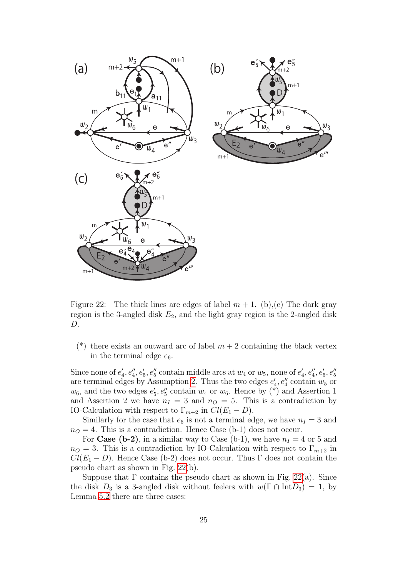

<span id="page-24-0"></span>Figure 22: The thick lines are edges of label  $m + 1$ . (b),(c) The dark gray region is the 3-angled disk  $E_2$ , and the light gray region is the 2-angled disk D.

(\*) there exists an outward arc of label  $m + 2$  containing the black vertex in the terminal edge  $e_6$ .

Since none of  $e'_4, e''_4, e'_5, e''_5$  contain middle arcs at  $w_4$  or  $w_5$ , none of  $e'_4, e''_4, e'_5, e''_5$ are terminal edges by Assumption [2.](#page-4-1) Thus the two edges  $e'_4, e''_4$  contain  $w_5$  or  $w_6$ , and the two edges  $e'_5, e''_5$  contain  $w_4$  or  $w_6$ . Hence by (\*) and Assertion 1 and Assertion 2 we have  $n_I = 3$  and  $n_O = 5$ . This is a contradiction by IO-Calculation with respect to  $\Gamma_{m+2}$  in  $Cl(E_1 - D)$ .

Similarly for the case that  $e_6$  is not a terminal edge, we have  $n_I = 3$  and  $n<sub>O</sub> = 4$ . This is a contradiction. Hence Case (b-1) does not occur.

For Case (b-2), in a similar way to Case (b-1), we have  $n_I = 4$  or 5 and  $n<sub>O</sub> = 3$ . This is a contradiction by IO-Calculation with respect to  $\Gamma_{m+2}$  in  $Cl(E_1 - D)$ . Hence Case (b-2) does not occur. Thus Γ does not contain the pseudo chart as shown in Fig. [22\(](#page-24-0)b).

Suppose that  $\Gamma$  contains the pseudo chart as shown in Fig. [22\(](#page-24-0)a). Since the disk  $D_3$  is a 3-angled disk without feelers with  $w(\Gamma \cap \text{Int}D_3) = 1$ , by Lemma [5.2](#page-11-2) there are three cases: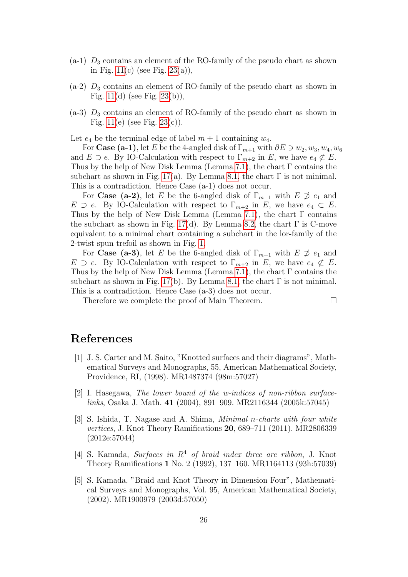- $(a-1)$   $D_3$  contains an element of the RO-family of the pseudo chart as shown in Fig.  $11(c)$  (see Fig.  $23(a)$ ),
- $(a-2)$   $D_3$  contains an element of RO-family of the pseudo chart as shown in Fig.  $11(d)$  (see Fig.  $23(b)$ ),
- $(a-3)$   $D_3$  contains an element of RO-family of the pseudo chart as shown in Fig.  $11(e)$  (see Fig.  $23(c)$ ).

Let  $e_4$  be the terminal edge of label  $m + 1$  containing  $w_4$ .

For Case (a-1), let E be the 4-angled disk of  $\Gamma_{m+1}$  with  $\partial E \ni w_2, w_3, w_4, w_6$ and  $E \supset e$ . By IO-Calculation with respect to  $\Gamma_{m+2}$  in E, we have  $e_4 \not\subset E$ . Thus by the help of New Disk Lemma (Lemma [7.1\)](#page-13-2), the chart  $\Gamma$  contains the subchart as shown in Fig. [17\(](#page-16-1)a). By Lemma [8.1,](#page-16-2) the chart  $\Gamma$  is not minimal. This is a contradiction. Hence Case (a-1) does not occur.

For **Case** (a-2), let E be the 6-angled disk of  $\Gamma_{m+1}$  with  $E \not\supseteq e_1$  and  $E \supset e$ . By IO-Calculation with respect to  $\Gamma_{m+2}$  in E, we have  $e_4 \subset E$ . Thus by the help of New Disk Lemma (Lemma [7.1\)](#page-13-2), the chart  $\Gamma$  contains the subchart as shown in Fig. [17\(](#page-16-1)d). By Lemma [8.2,](#page-17-0) the chart  $\Gamma$  is C-move equivalent to a minimal chart containing a subchart in the lor-family of the 2-twist spun trefoil as shown in Fig. [1.](#page-1-0)

For Case (a-3), let E be the 6-angled disk of  $\Gamma_{m+1}$  with  $E \not\supseteq e_1$  and  $E \supset e$ . By IO-Calculation with respect to  $\Gamma_{m+2}$  in E, we have  $e_4 \not\subset E$ . Thus by the help of New Disk Lemma (Lemma [7.1\)](#page-13-2), the chart  $\Gamma$  contains the subchart as shown in Fig. [17\(](#page-16-1)b). By Lemma [8.1,](#page-16-2) the chart  $\Gamma$  is not minimal. This is a contradiction. Hence Case (a-3) does not occur.

Therefore we complete the proof of Main Theorem.

# References

- <span id="page-25-4"></span>[1] J. S. Carter and M. Saito, "Knotted surfaces and their diagrams", Mathematical Surveys and Monographs, 55, American Mathematical Society, Providence, RI, (1998). MR1487374 (98m:57027)
- <span id="page-25-2"></span>[2] I. Hasegawa, The lower bound of the w-indices of non-ribbon surfacelinks, Osaka J. Math. 41 (2004), 891–909. MR2116344 (2005k:57045)
- <span id="page-25-3"></span>[3] S. Ishida, T. Nagase and A. Shima, Minimal n-charts with four white vertices, J. Knot Theory Ramifications 20, 689–711 (2011). MR2806339 (2012e:57044)
- <span id="page-25-1"></span>[4] S. Kamada, Surfaces in  $R<sup>4</sup>$  of braid index three are ribbon, J. Knot Theory Ramifications 1 No. 2 (1992), 137–160. MR1164113 (93h:57039)
- <span id="page-25-0"></span>[5] S. Kamada, "Braid and Knot Theory in Dimension Four", Mathematical Surveys and Monographs, Vol. 95, American Mathematical Society, (2002). MR1900979 (2003d:57050)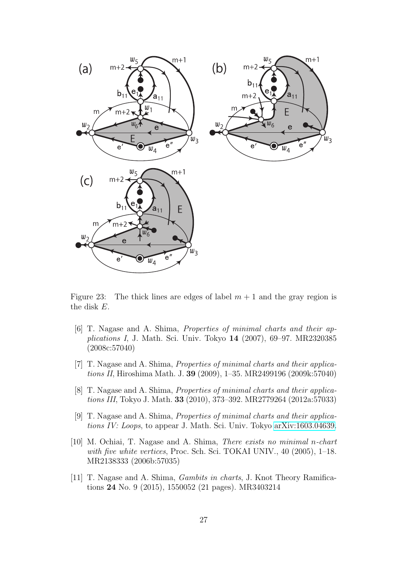

<span id="page-26-6"></span>Figure 23: The thick lines are edges of label  $m + 1$  and the gray region is the disk E.

- <span id="page-26-1"></span>[6] T. Nagase and A. Shima, Properties of minimal charts and their applications I, J. Math. Sci. Univ. Tokyo 14 (2007), 69–97. MR2320385 (2008c:57040)
- <span id="page-26-2"></span>[7] T. Nagase and A. Shima, Properties of minimal charts and their applications II, Hiroshima Math. J. 39 (2009), 1–35. MR2499196 (2009k:57040)
- <span id="page-26-3"></span>[8] T. Nagase and A. Shima, Properties of minimal charts and their applications III, Tokyo J. Math. 33 (2010), 373–392. MR2779264 (2012a:57033)
- <span id="page-26-4"></span>[9] T. Nagase and A. Shima, Properties of minimal charts and their applications IV: Loops, to appear J. Math. Sci. Univ. Tokyo [arXiv:1603.04639.](http://arxiv.org/abs/1603.04639)
- <span id="page-26-0"></span>[10] M. Ochiai, T. Nagase and A. Shima, There exists no minimal n-chart with five white vertices, Proc. Sch. Sci. TOKAI UNIV., 40 (2005), 1–18. MR2138333 (2006b:57035)
- <span id="page-26-5"></span>[11] T. Nagase and A. Shima, Gambits in charts, J. Knot Theory Ramifications 24 No. 9 (2015), 1550052 (21 pages). MR3403214